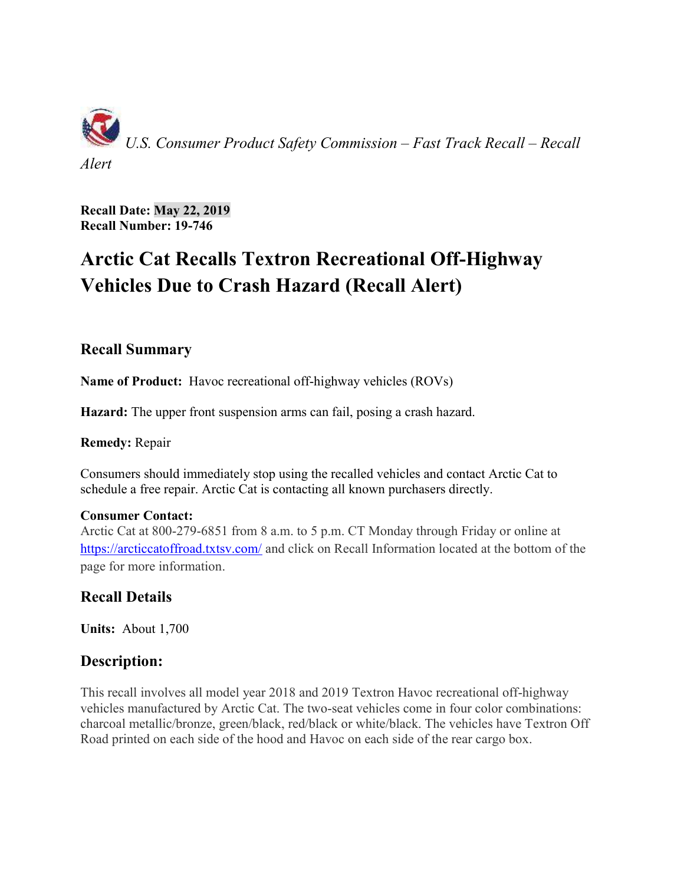

Recall Date: May 22, 2019 Recall Number: 19-746

# Arctic Cat Recalls Textron Recreational Off-Highway Vehicles Due to Crash Hazard (Recall Alert)

## Recall Summary

Name of Product: Havoc recreational off-highway vehicles (ROVs)

Hazard: The upper front suspension arms can fail, posing a crash hazard.

Remedy: Repair

Consumers should immediately stop using the recalled vehicles and contact Arctic Cat to schedule a free repair. Arctic Cat is contacting all known purchasers directly.

#### Consumer Contact:

Arctic Cat at 800-279-6851 from 8 a.m. to 5 p.m. CT Monday through Friday or online at https://arcticcatoffroad.txtsv.com/ and click on Recall Information located at the bottom of the page for more information.

## Recall Details

Units: About 1,700

## Description:

This recall involves all model year 2018 and 2019 Textron Havoc recreational off-highway vehicles manufactured by Arctic Cat. The two-seat vehicles come in four color combinations: charcoal metallic/bronze, green/black, red/black or white/black. The vehicles have Textron Off Road printed on each side of the hood and Havoc on each side of the rear cargo box.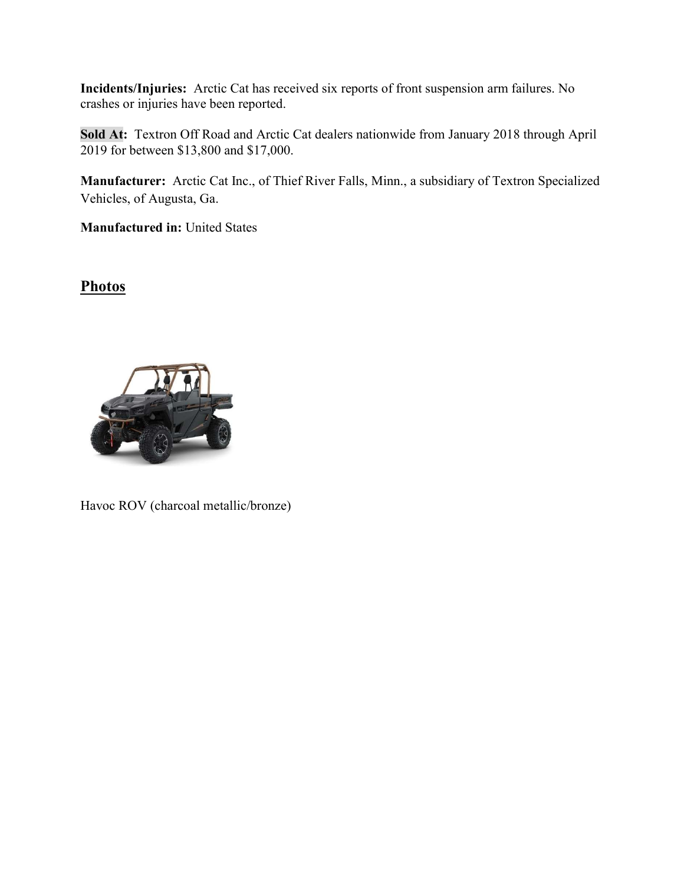Incidents/Injuries: Arctic Cat has received six reports of front suspension arm failures. No crashes or injuries have been reported.

Sold At: Textron Off Road and Arctic Cat dealers nationwide from January 2018 through April 2019 for between \$13,800 and \$17,000.

Manufacturer: Arctic Cat Inc., of Thief River Falls, Minn., a subsidiary of Textron Specialized Vehicles, of Augusta, Ga.

Manufactured in: United States

## **Photos**



Havoc ROV (charcoal metallic/bronze)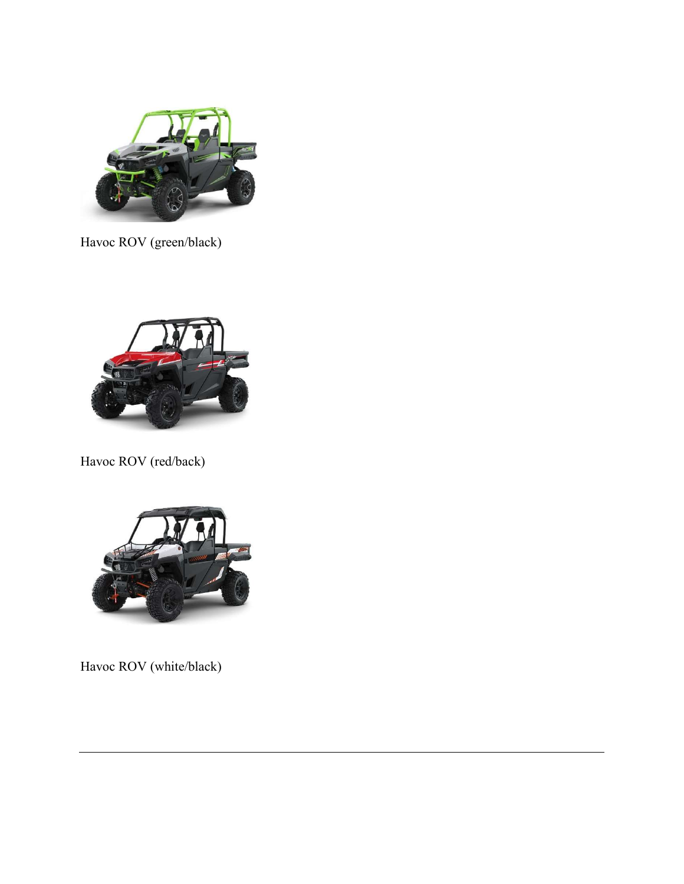

Havoc ROV (green/black)



Havoc ROV (red/back)



Havoc ROV (white/black)